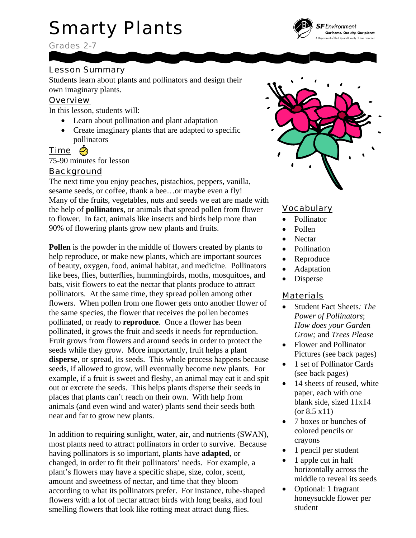# Smarty Plants

Grades 2-7

### Lesson Summary

Students learn about plants and pollinators and design their own imaginary plants.

#### **Overview**

In this lesson, students will:

- Learn about pollination and plant adaptation
- Create imaginary plants that are adapted to specific pollinators

## Time

75-90 minutes for lesson

#### **Background**

The next time you enjoy peaches, pistachios, peppers, vanilla, sesame seeds, or coffee, thank a bee…or maybe even a fly! Many of the fruits, vegetables, nuts and seeds we eat are made with the help of **pollinators**, or animals that spread pollen from flower to flower. In fact, animals like insects and birds help more than 90% of flowering plants grow new plants and fruits.

**Pollen** is the powder in the middle of flowers created by plants to help reproduce, or make new plants, which are important sources of beauty, oxygen, food, animal habitat, and medicine. Pollinators like bees, flies, butterflies, hummingbirds, moths, mosquitoes, and bats, visit flowers to eat the nectar that plants produce to attract pollinators. At the same time, they spread pollen among other flowers. When pollen from one flower gets onto another flower of the same species, the flower that receives the pollen becomes pollinated, or ready to **reproduce**. Once a flower has been pollinated, it grows the fruit and seeds it needs for reproduction. Fruit grows from flowers and around seeds in order to protect the seeds while they grow. More importantly, fruit helps a plant **disperse**, or spread, its seeds. This whole process happens because seeds, if allowed to grow, will eventually become new plants. For example, if a fruit is sweet and fleshy, an animal may eat it and spit out or excrete the seeds. This helps plants disperse their seeds in places that plants can't reach on their own. With help from animals (and even wind and water) plants send their seeds both near and far to grow new plants.

In addition to requiring **s**unlight, **w**ater, **a**ir, and **n**utrients (SWAN), most plants need to attract pollinators in order to survive. Because having pollinators is so important, plants have **adapted**, or changed, in order to fit their pollinators' needs. For example, a plant's flowers may have a specific shape, size, color, scent, amount and sweetness of nectar, and time that they bloom according to what its pollinators prefer. For instance, tube-shaped flowers with a lot of nectar attract birds with long beaks, and foul smelling flowers that look like rotting meat attract dung flies.



#### **Vocabulary**

- Pollinator
- Pollen
- Nectar
- Pollination
- **Reproduce**
- Adaptation
- Disperse

#### Materials

- Student Fact Sheets*: The Power of Pollinators*; *How does your Garden Grow;* and *Trees Please*
- Flower and Pollinator Pictures (see back pages)
- 1 set of Pollinator Cards (see back pages)
- 14 sheets of reused, white paper, each with one blank side, sized 11x14 (or 8.5 x11)
- 7 boxes or bunches of colored pencils or crayons
- 1 pencil per student
- 1 apple cut in half horizontally across the middle to reveal its seeds
- Optional: 1 fragrant honeysuckle flower per student

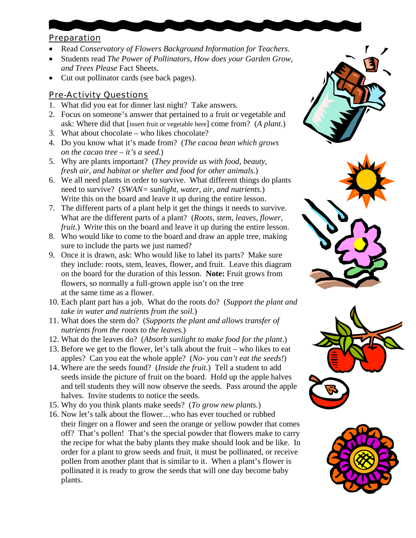#### Preparation

- Read *Conservatory of Flowers Background Information for Teachers.*
- Students read *The Power of Pollinators*, *How does your Garden Grow, and Trees Please* Fact Sheets.
- Cut out pollinator cards (see back pages).

### Pre-Activity Questions

- 1. What did you eat for dinner last night? Take answers*.*
- 2. Focus on someone's answer that pertained to a fruit or vegetable and ask: Where did that [insert fruit or vegetable here] come from? (*A plant.*)
- 3. What about chocolate who likes chocolate?
- 4. Do you know what it's made from? (*The cacoa bean which grows on the cacao tree – it's a seed.*)
- 5. Why are plants important? (*They provide us with food, beauty, fresh air, and habitat or shelter and food for other animals.*)
- 6. We all need plants in order to survive. What different things do plants need to survive? (*SWAN= sunlight, water, air, and nutrients*.) Write this on the board and leave it up during the entire lesson.
- 7. The different parts of a plant help it get the things it needs to survive. What are the different parts of a plant? (*Roots, stem, leaves, flower, fruit.*) Write this on the board and leave it up during the entire lesson.
- 8. Who would like to come to the board and draw an apple tree, making sure to include the parts we just named?
- 9. Once it is drawn, ask: Who would like to label its parts? Make sure they include: roots, stem, leaves, flower, and fruit. Leave this diagram on the board for the duration of this lesson. **Note:** Fruit grows from flowers, so normally a full-grown apple isn't on the tree at the same time as a flower.
- 10. Each plant part has a job. What do the roots do? (*Support the plant and take in water and nutrients from the soil.*)
- 11. What does the stem do? (*Supports the plant and allows transfer of nutrients from the roots to the leaves.*)
- 12. What do the leaves do? (*Absorb sunlight to make food for the plant*.)
- 13. Before we get to the flower, let's talk about the fruit who likes to eat apples? Can you eat the whole apple? (*No- you can't eat the seeds!*)
- 14. Where are the seeds found? (*Inside the fruit.*) Tell a student to add seeds inside the picture of fruit on the board. Hold up the apple halves and tell students they will now observe the seeds. Pass around the apple halves. Invite students to notice the seeds.
- 15. Why do you think plants make seeds? (*To grow new plants.*)
- 16. Now let's talk about the flower…who has ever touched or rubbed their finger on a flower and seen the orange or yellow powder that comes off? That's pollen! That's the special powder that flowers make to carry the recipe for what the baby plants they make should look and be like. In order for a plant to grow seeds and fruit, it must be pollinated, or receive pollen from another plant that is similar to it. When a plant's flower is pollinated it is ready to grow the seeds that will one day become baby plants.







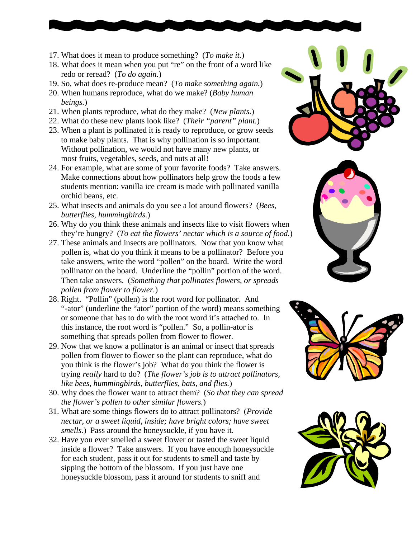- 17. What does it mean to produce something? (*To make it.*)
- 18. What does it mean when you put "re" on the front of a word like redo or reread? (*To do again.*)
- 19. So, what does re-produce mean? (*To make something again.*)
- 20. When humans reproduce, what do we make? (*Baby human beings.*)
- 21. When plants reproduce, what do they make? (*New plants.*)
- 22. What do these new plants look like? (*Their "parent" plant.*)
- 23. When a plant is pollinated it is ready to reproduce, or grow seeds to make baby plants. That is why pollination is so important. Without pollination, we would not have many new plants, or most fruits, vegetables, seeds, and nuts at all!
- 24. For example, what are some of your favorite foods? Take answers. Make connections about how pollinators help grow the foods a few students mention: vanilla ice cream is made with pollinated vanilla orchid beans, etc.
- 25. What insects and animals do you see a lot around flowers? (*Bees, butterflies, hummingbirds.*)
- 26. Why do you think these animals and insects like to visit flowers when they're hungry? (*To eat the flowers' nectar which is a source of food.*)
- 27. These animals and insects are pollinators. Now that you know what pollen is, what do you think it means to be a pollinator? Before you take answers, write the word "pollen" on the board. Write the word pollinator on the board. Underline the "pollin" portion of the word. Then take answers. (*Something that pollinates flowers, or spreads pollen from flower to flower.*)
- 28. Right. "Pollin" (pollen) is the root word for pollinator. And "-ator" (underline the "ator" portion of the word) means something or someone that has to do with the root word it's attached to. In this instance, the root word is "pollen." So, a pollin-ator is something that spreads pollen from flower to flower.
- 29. Now that we know a pollinator is an animal or insect that spreads pollen from flower to flower so the plant can reproduce, what do you think is the flower's job? What do you think the flower is trying *really* hard to do? (*The flower's job is to attract pollinators, like bees, hummingbirds, butterflies, bats, and flies.*)
- 30. Why does the flower want to attract them? (*So that they can s pread the flower's pollen to other similar flowers.*)
- 31. What are some things flowers do to attract pollinators? (*Provide nectar, or a sweet liquid, inside; have bright colors; have sweet smells.*) Pass around the honeysuckle, if you have it.
- 32. Have you ever smelled a sweet flower or tasted the sweet liquid inside a flower? Take answers. If you have enough honeysuckle for each student, pass it out for students to smell and taste by sipping the bottom of the blossom. If you just have one honeysuckle blossom, pass it around for students to sniff and







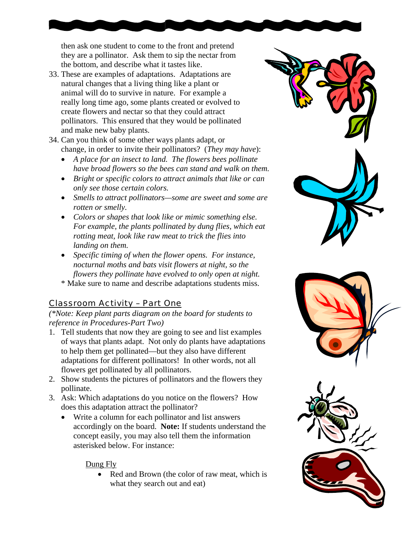then ask one student to come to the front and pretend they are a pollinator. Ask them to sip the nectar from the bottom, and describe what it tastes like.

- 33. These are examples of adaptations. Adaptations are natural changes that a living thing like a plant or animal will do to survive in nature. For example a really long time ago, some plants created or evolved to create flowers and nectar so that they could attract pollinators. This ensured that they would be pollinated and make new baby plants.
- 34. Can you think of some other ways plants adapt, or change, in order to invite their pollinators? (*They may have*):
	- *A place for an insect to land. The flowers bees pollinate have broad flowers so the bees can stand and walk on them.*
	- *Bright or specific colors to attract animals that like or can only see those certain colors.*
	- *Smells to attract pollinators—some are sweet and some are rotten or smelly.*
	- *Colors or shapes that look like or mimic something else. For example, the plants pollinated by dung flies, which eat rotting meat, look like raw meat to trick the flies into landing on them.*
	- *Specific timing of when the flower opens. For instance, nocturnal moths and bats visit flowers at night, so the flowers they pollinate have evolved to only open at night.*
	- \* Make sure to name and describe adaptations students miss.

## Classroom Activity – Part One

*(\*Note: Keep plant parts diagram on the board for students to reference in Procedures-Part Two)* 

- 1. Tell students that now they are going to see and list examples of ways that plants adapt. Not only do plants have adaptations to help them get pollinated—but they also have different adaptations for different pollinators! In other words, not all flowers get pollinated by all pollinators.
- 2. Show students the pictures of pollinators and the flowers they pollinate.
- 3. Ask: Which adaptations do you notice on the flowers? How does this adaptation attract the pollinator?
	- Write a column for each pollinator and list answers accordingly on the board. **Note:** If students understand the concept easily, you may also tell them the information asterisked below. For instance:

#### Dung Fly

Red and Brown (the color of raw meat, which is what they search out and eat)





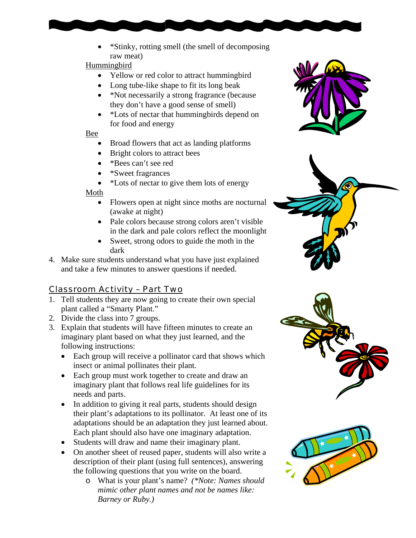• \*Stinky, rotting smell (the smell of decomposing raw meat)

#### Hummingbird

- Yellow or red color to attract hummingbird
- Long tube-like shape to fit its long beak
- \*Not necessarily a strong fragrance (because they don't have a good sense of smell)
- \*Lots of nectar that hummingbirds depend on for food and energy

#### Bee

- Broad flowers that act as landing platforms
- Bright colors to attract bees
- \*Bees can't see red
- \*Sweet fragrances
- \*Lots of nectar to give them lots of energy

#### Moth

- Flowers open at night since moths are nocturnal (awake at night)
- in the dark and pale colors reflect the moonlight • Pale colors because strong colors aren't visible
- Sweet, strong odors to guide the moth in the dark
- 4. Make sure students understand what you have just explained and take a few minutes to answer questions if needed.

## <u>Classroom Activity - Part Two</u>

- 1. Tell students they are now going to create their own special plant called a "Smarty Plant."
- 2. Divide the class into 7 groups.
- 3. Explain that students will have fifteen minutes to create an imaginary plant based on what they just learned, and the following instructions:
	- Each group will receive a pollinator card that shows which insect or animal pollinates their plant.
	- Each group must work together to create and draw an imaginary plant that follows real life guidelines for its needs and parts.
	- In addition to giving it real parts, students should design their plant's adaptations to its pollinator. At least one of its adaptations should be an adaptation they just learned about. Each plant should also have one imaginary adaptation.
	- Students will draw and name their imaginary plant.
	- On another sheet of reused paper, students will also write a description of their plant (using full sentences), answering the following questions that you write on the board.
		- $\circ$  What is your plant's name? *(\*Note: Names should mimic other plant names and not be names like: Barney or Ruby.)*







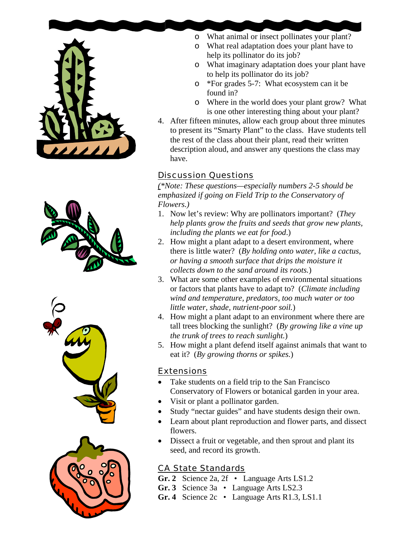







- o What animal or insect pollinates your plant?
- o What real adaptation does your plant have to help its pollinator do its job?
- o What imaginary adaptation does your plant have to help its pollinator do its job?
- o \*For grades 5-7: What ecosystem can it be found in?
- o Where in the world does your plant grow? What is one other interesting thing about your plant?
- 4. After fifteen minutes, allow each group about three minutes to present its "Smarty Plant" to the class. Have students tell the rest of the class about their plant, read their written description aloud, and answer any questions the class may have.

## Discussion Questions

*(\*Note: These questions—especially numbers 2-5 should be emphasized if going on Field Trip to the Conservatory of Flowers.)* 

- 1. Now let's review: Why are pollinators important? (*They help plants grow the fruits and seeds that grow new plants, including the plants we eat for food*.)
- 2. How might a plant adapt to a desert environment, where there is little water?(*By holding onto water, like a cactus, or having a smooth surface that drips the moisture it collects down to the sand around its roots.*)
- 3. What are some other examples of environmental situations or factors that plants have to adapt to? (*Climate including wind and temperature, predators, too much water or too little water, shade, nutrient-poor soil.*)
- 4. How might a plant adapt to an environment where there are tall trees blocking the sunlight? (*By growing like a vine up the trunk of trees to reach sunlight.*)
- 5. How might a plant defend itself against animals that want to eat it? (*By growing thorns or spikes.*)

#### Extensions

- Take students on a field trip to the San Francisco Conservatory of Flowers or botanical garden in your area.
- Visit or plant a pollinator garden.
- Study "nectar guides" and have students design their own.
- Learn about plant reproduction and flower parts, and dissect flowers.
- Dissect a fruit or vegetable, and then sprout and plant its seed, and record its growth.

## CA State Standards

- **Gr. 2** Science 2a, 2f Language Arts LS1.2
- **Gr. 3** Science 3a Language Arts LS2.3
- **Gr. 4** Science 2c Language Arts R1.3, LS1.1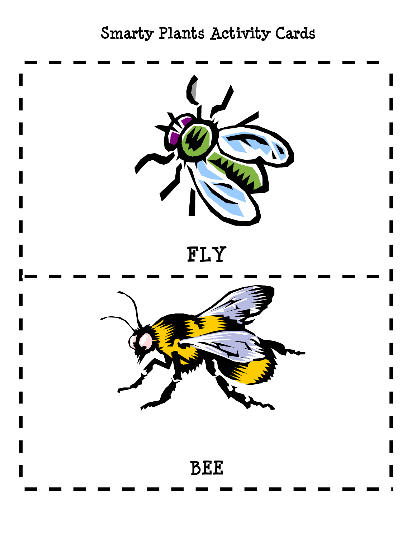# **Smarty Plants Activity Cards**

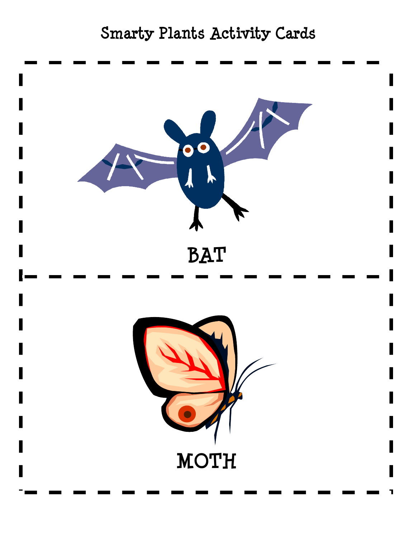# **Smarty Plants Activity Cards**

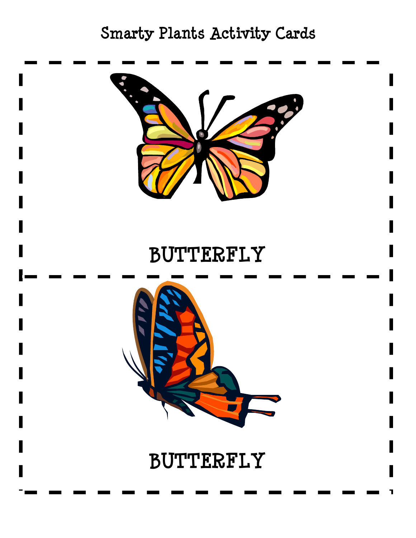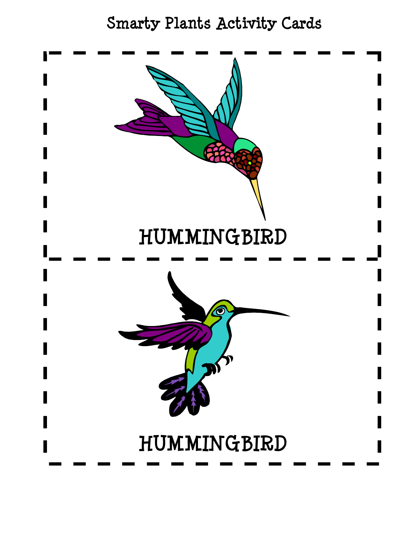# **Smarty Plants Activity Cards**

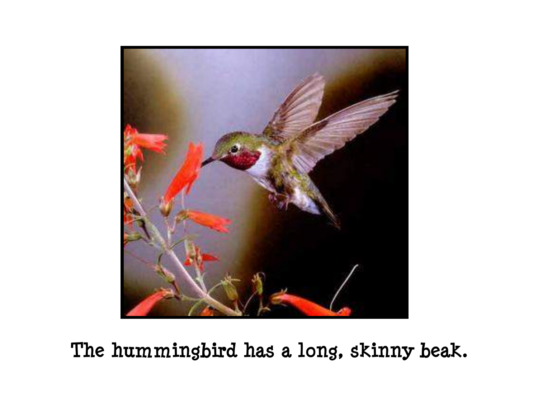

**The hummingbird has a long, skinny beak.**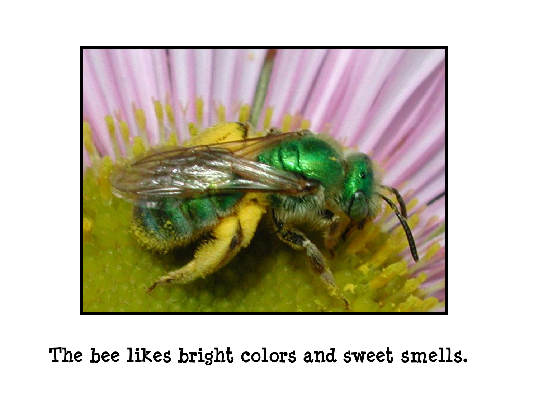

**The bee likes bright colors and sweet smells.**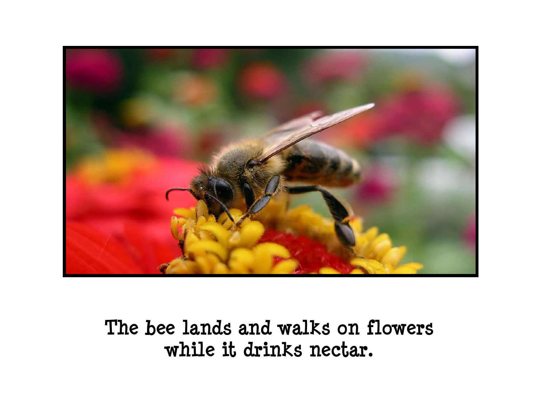

# **The bee lands and walks on flowers while it drinks nectar.**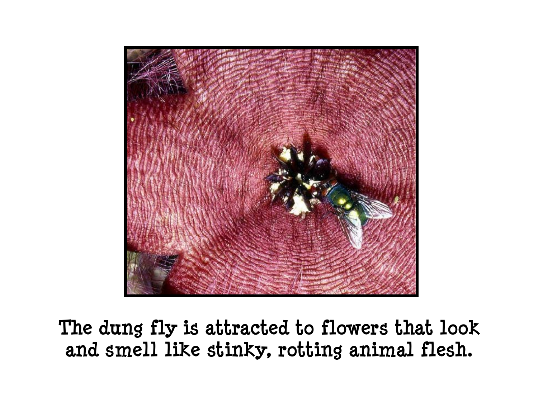

**The dung fly is attracted to flowers that look and smell like stinky, rotting animal flesh.**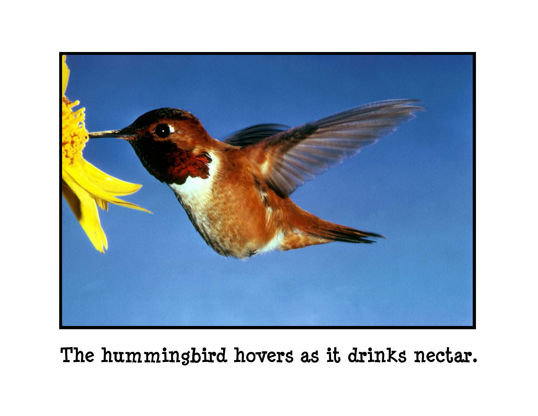

**The hummingbird hovers as it drinks nectar.**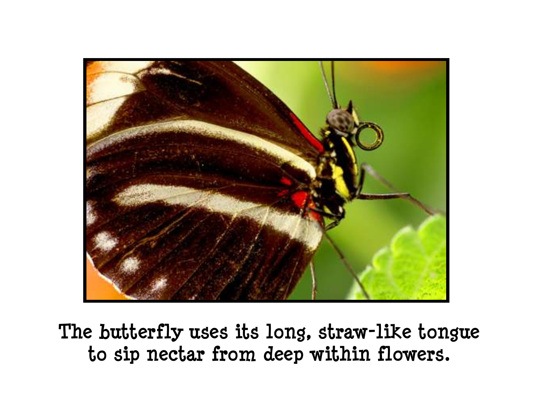

**The butterfly uses its long, straw-like tongue to sip nectar from deep within flowers.**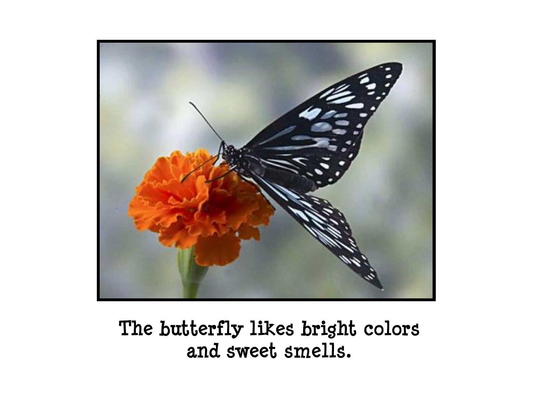

# **The butterfly likes bright colors and sweet smells.**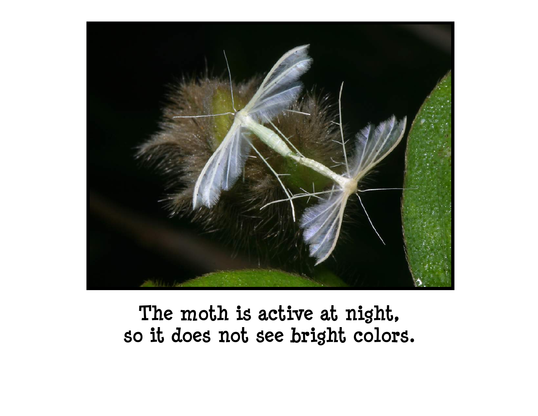

# **The moth is active at night, so it does not see bright colors.**